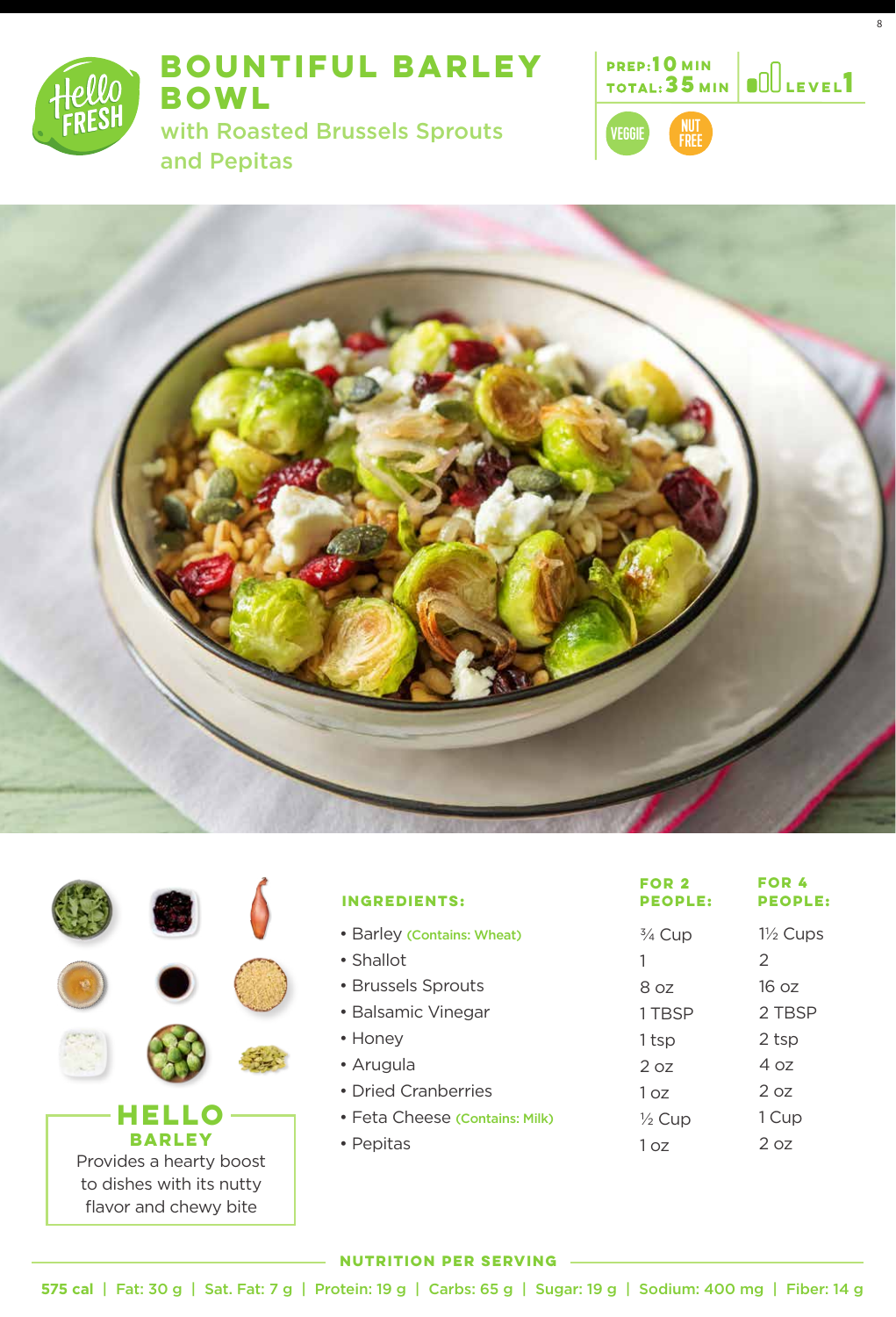

# **BOUNTIFUL BARLEY BOWL**

with Roasted Brussels Sprouts and Pepitas



8

FREE





| <b>INGREDIENTS:</b>            | FOR <sub>2</sub><br><b>PEOPLE:</b> | <b>FOR 4</b><br><b>PEOPLE:</b> |
|--------------------------------|------------------------------------|--------------------------------|
| • Barley (Contains: Wheat)     | $\frac{3}{4}$ Cup                  | $1\frac{1}{2}$ Cups            |
| • Shallot                      |                                    | 2                              |
| • Brussels Sprouts             | 8.07                               | 16 oz                          |
| • Balsamic Vinegar             | 1 TBSP                             | 2 TBSP                         |
| • Honey                        | 1 tsp                              | 2 tsp                          |
| • Arugula                      | 2 oz                               | 4 oz                           |
| • Dried Cranberries            | 1 <sub>07</sub>                    | 2 oz                           |
| • Feta Cheese (Contains: Milk) | $\frac{1}{2}$ Cup                  | 1 Cup                          |
| • Pepitas                      | 1 07                               | 2 oz                           |

#### **NUTRITION PER SERVING**